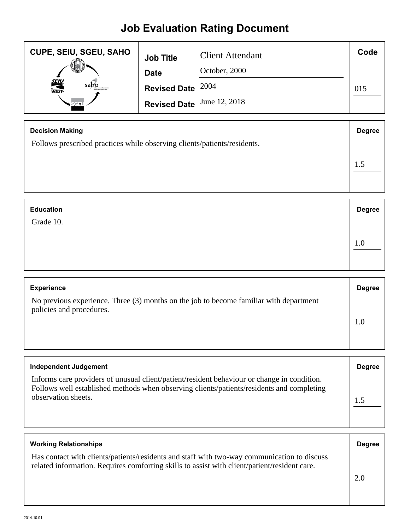## **Job Evaluation Rating Document**

| <b>CUPE, SEIU, SGEU, SAHO</b> | <b>Job Title</b>           | <b>Client Attendant</b> | Code |
|-------------------------------|----------------------------|-------------------------|------|
|                               | <b>Date</b>                | October, 2000           |      |
| <b>SEIU</b><br>WEST-<br>saho  | Revised Date $2004$        |                         | 015  |
|                               | Revised Date June 12, 2018 |                         |      |

| <b>Decision Making</b>                                                   | <b>Degree</b> |
|--------------------------------------------------------------------------|---------------|
| Follows prescribed practices while observing clients/patients/residents. |               |
|                                                                          |               |

| <b>Education</b> | <b>Degree</b> |
|------------------|---------------|
| Grade 10.        |               |
|                  | 1.0           |
|                  |               |

| <b>Experience</b>                                                                                                  | <b>Degree</b> |
|--------------------------------------------------------------------------------------------------------------------|---------------|
| No previous experience. Three (3) months on the job to become familiar with department<br>policies and procedures. |               |
|                                                                                                                    |               |

| <b>Independent Judgement</b>                                                                                                                                                                                    | <b>Degree</b> |
|-----------------------------------------------------------------------------------------------------------------------------------------------------------------------------------------------------------------|---------------|
| Informs care providers of unusual client/patient/resident behaviour or change in condition.<br>Follows well established methods when observing clients/patients/residents and completing<br>observation sheets. |               |

| <b>Working Relationships</b>                                                                                                                                                                | <b>Degree</b> |
|---------------------------------------------------------------------------------------------------------------------------------------------------------------------------------------------|---------------|
| Has contact with clients/patients/residents and staff with two-way communication to discuss<br>related information. Requires comforting skills to assist with client/patient/resident care. |               |
|                                                                                                                                                                                             | 2.0           |